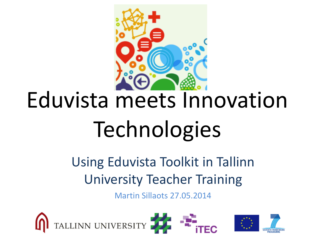

# Eduvista meets Innovation **Technologies**

#### Using Eduvista Toolkit in Tallinn University Teacher Training

Martin Sillaots 27.05.2014

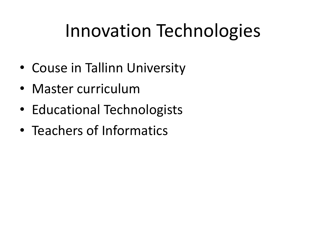# Innovation Technologies

- Couse in Tallinn University
- Master curriculum
- Educational Technologists
- Teachers of Informatics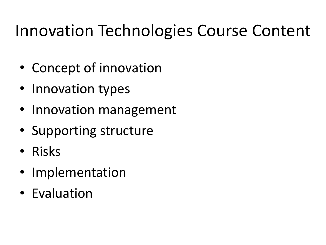### Innovation Technologies Course Content

- Concept of innovation
- Innovation types
- Innovation management
- Supporting structure
- Risks
- Implementation
- Evaluation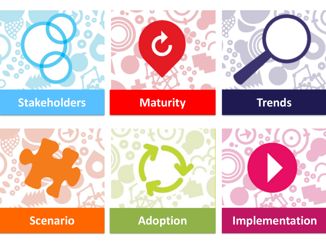







**Scenario 1 Adoption Implementation**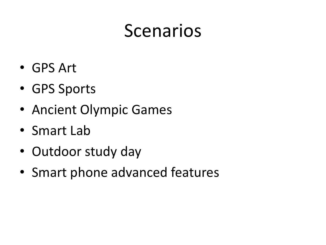### Scenarios

- GPS Art
- GPS Sports
- Ancient Olympic Games
- Smart Lab
- Outdoor study day
- Smart phone advanced features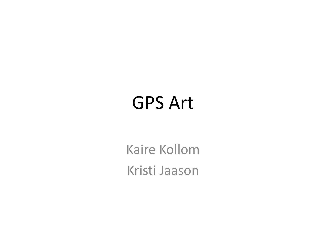### GPS Art

Kaire Kollom Kristi Jaason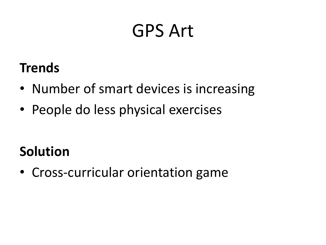### GPS Art

#### **Trends**

- Number of smart devices is increasing
- People do less physical exercises

#### **Solution**

• Cross-curricular orientation game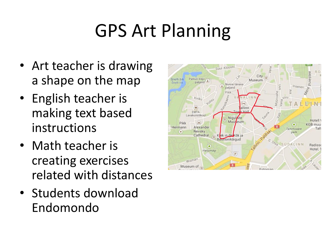# GPS Art Planning

- Art teacher is drawing a shape on the map
- English teacher is making text based instructions
- Math teacher is creating exercises related with distances
- Students download Endomondo

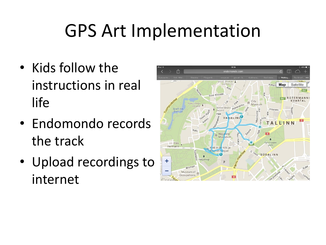## GPS Art Implementation

- Kids follow the instructions in real life
- Endomondo records the track
- Upload recordings to internet

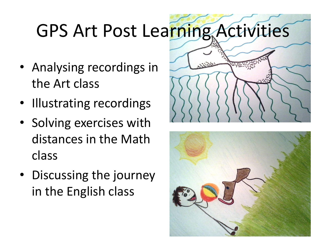# GPS Art Post Learning Activities

- Analysing recordings in the Art class
- Illustrating recordings
- Solving exercises with distances in the Math class
- Discussing the journey in the English class



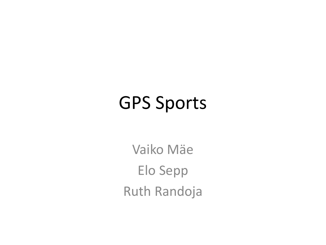Vaiko Mäe Elo Sepp Ruth Randoja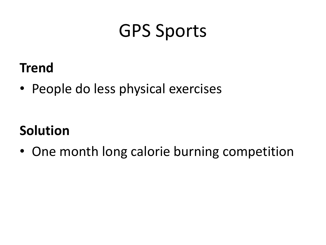#### **Trend**

• People do less physical exercises

#### **Solution**

• One month long calorie burning competition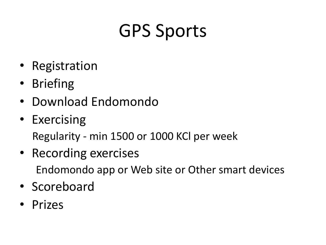- Registration
- Briefing
- Download Endomondo
- Exercising Regularity - min 1500 or 1000 KCl per week
- Recording exercises Endomondo app or Web site or Other smart devices
- Scoreboard
- Prizes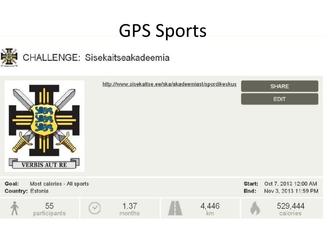

#### CHALLENGE: Sisekaitseakadeemia

|                                                                | <b>VERBIS AUT RE</b> |  | http://www.sisekaitse.ee/ska/akadeemiast/spordikeskus |  |             |                | <b>SHARE</b><br><b>EDIT</b>                  |
|----------------------------------------------------------------|----------------------|--|-------------------------------------------------------|--|-------------|----------------|----------------------------------------------|
| Goal:<br>Most calories - All sports<br><b>Country: Estonia</b> |                      |  |                                                       |  |             | Start:<br>End: | Oct 7, 2013 12:00 AM<br>Nov 3, 2013 11:59 PM |
|                                                                | 55<br>participants   |  | 1.37<br>months                                        |  | 4,446<br>km |                | 529,444<br>calories                          |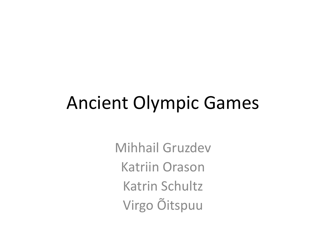### Ancient Olympic Games

Mihhail Gruzdev Katriin Orason Katrin Schultz Virgo Õitspuu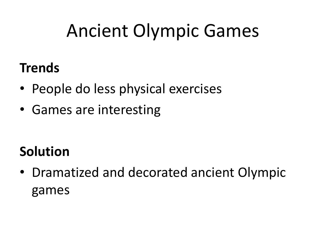# Ancient Olympic Games

#### **Trends**

- People do less physical exercises
- Games are interesting

#### **Solution**

• Dramatized and decorated ancient Olympic games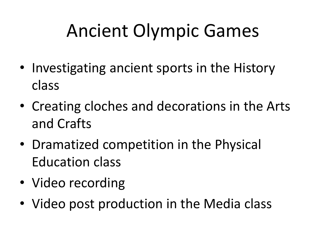# Ancient Olympic Games

- Investigating ancient sports in the History class
- Creating cloches and decorations in the Arts and Crafts
- Dramatized competition in the Physical Education class
- Video recording
- Video post production in the Media class